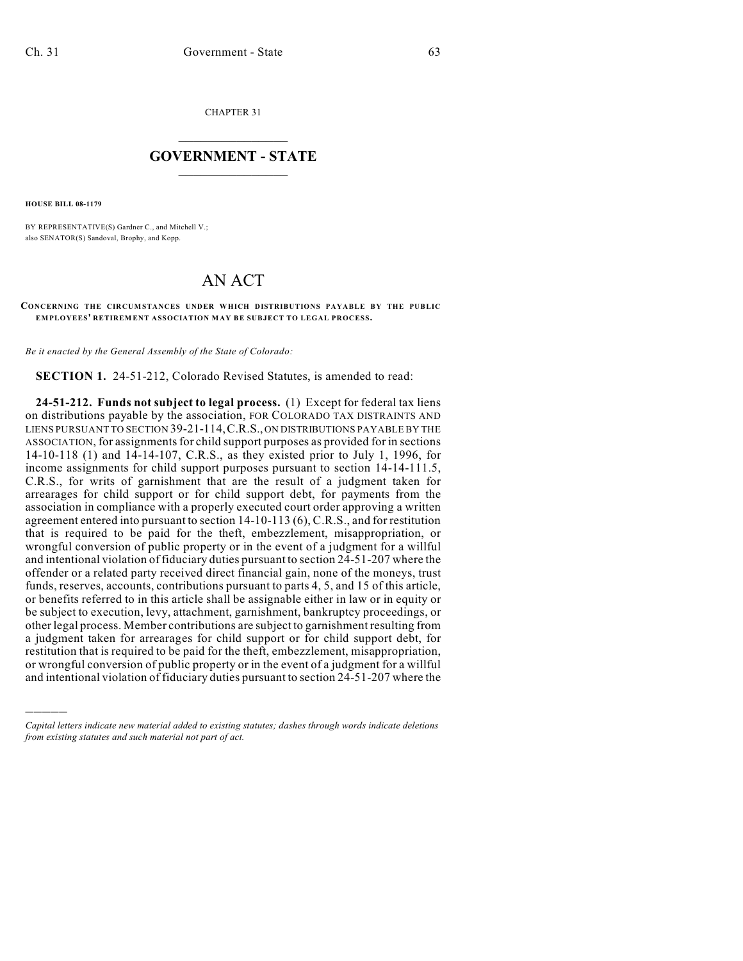CHAPTER 31

## $\overline{\phantom{a}}$  . The set of the set of the set of the set of the set of the set of the set of the set of the set of the set of the set of the set of the set of the set of the set of the set of the set of the set of the set o **GOVERNMENT - STATE**  $\_$

**HOUSE BILL 08-1179**

)))))

BY REPRESENTATIVE(S) Gardner C., and Mitchell V.; also SENATOR(S) Sandoval, Brophy, and Kopp.

## AN ACT

## **CONCERNING THE CIRCUMSTANCES UNDER WHICH DISTRIBUTIONS PAYABLE BY THE PUBLIC EMPLOYEES' RETIREM ENT ASSOCIATION MAY BE SUBJECT TO LEGAL PROCESS.**

*Be it enacted by the General Assembly of the State of Colorado:*

**SECTION 1.** 24-51-212, Colorado Revised Statutes, is amended to read:

**24-51-212. Funds not subject to legal process.** (1) Except for federal tax liens on distributions payable by the association, FOR COLORADO TAX DISTRAINTS AND LIENS PURSUANT TO SECTION 39-21-114,C.R.S., ON DISTRIBUTIONS PAYABLE BY THE ASSOCIATION, for assignments for child support purposes as provided for in sections 14-10-118 (1) and 14-14-107, C.R.S., as they existed prior to July 1, 1996, for income assignments for child support purposes pursuant to section 14-14-111.5, C.R.S., for writs of garnishment that are the result of a judgment taken for arrearages for child support or for child support debt, for payments from the association in compliance with a properly executed court order approving a written agreement entered into pursuant to section 14-10-113 (6), C.R.S., and for restitution that is required to be paid for the theft, embezzlement, misappropriation, or wrongful conversion of public property or in the event of a judgment for a willful and intentional violation of fiduciary duties pursuant to section 24-51-207 where the offender or a related party received direct financial gain, none of the moneys, trust funds, reserves, accounts, contributions pursuant to parts 4, 5, and 15 of this article, or benefits referred to in this article shall be assignable either in law or in equity or be subject to execution, levy, attachment, garnishment, bankruptcy proceedings, or other legal process. Member contributions are subject to garnishment resulting from a judgment taken for arrearages for child support or for child support debt, for restitution that is required to be paid for the theft, embezzlement, misappropriation, or wrongful conversion of public property or in the event of a judgment for a willful and intentional violation of fiduciary duties pursuant to section 24-51-207 where the

*Capital letters indicate new material added to existing statutes; dashes through words indicate deletions from existing statutes and such material not part of act.*